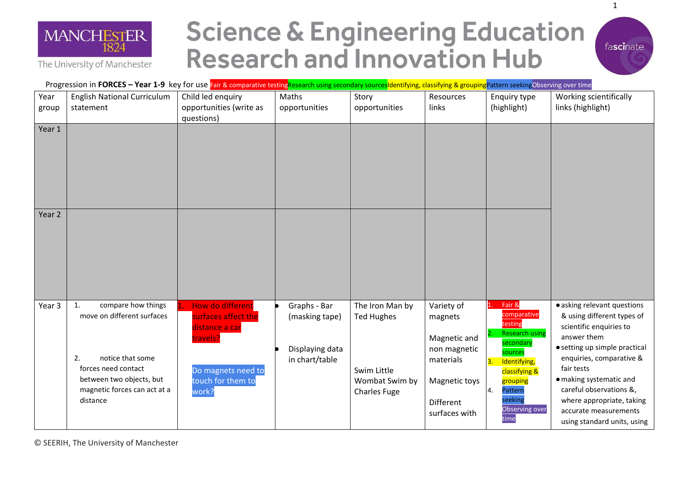

The University of Manchester

**Science & Engineering Education Research and Innovation Hub** 



Progression in **FORCES – Year 1-9** key for use Fair & comparative testingResearch using secondary sourcesIdentifying, classifying & groupingPattern seekingObserving over time

| Year<br>group | <b>English National Curriculum</b><br>statement                                                                                                                                 | Child led enquiry<br>opportunities (write as<br>questions)                                                                | Maths<br>opportunities                                              | Story<br>opportunities                                                                       | Resources<br>links                                                                                                | Enquiry type<br>(highlight)                                                                                                                                                                              | Working scientifically<br>links (highlight)                                                                                                                                                                                                                                                                               |
|---------------|---------------------------------------------------------------------------------------------------------------------------------------------------------------------------------|---------------------------------------------------------------------------------------------------------------------------|---------------------------------------------------------------------|----------------------------------------------------------------------------------------------|-------------------------------------------------------------------------------------------------------------------|----------------------------------------------------------------------------------------------------------------------------------------------------------------------------------------------------------|---------------------------------------------------------------------------------------------------------------------------------------------------------------------------------------------------------------------------------------------------------------------------------------------------------------------------|
| Year 1        |                                                                                                                                                                                 |                                                                                                                           |                                                                     |                                                                                              |                                                                                                                   |                                                                                                                                                                                                          |                                                                                                                                                                                                                                                                                                                           |
| Year 2        |                                                                                                                                                                                 |                                                                                                                           |                                                                     |                                                                                              |                                                                                                                   |                                                                                                                                                                                                          |                                                                                                                                                                                                                                                                                                                           |
| Year 3        | compare how things<br>1.<br>move on different surfaces<br>notice that some<br>2.<br>forces need contact<br>between two objects, but<br>magnetic forces can act at a<br>distance | How do different<br>surfaces affect the<br>distance a car<br>travels?<br>Do magnets need to<br>touch for them to<br>work? | Graphs - Bar<br>(masking tape)<br>Displaying data<br>in chart/table | The Iron Man by<br><b>Ted Hughes</b><br>Swim Little<br>Wombat Swim by<br><b>Charles Fuge</b> | Variety of<br>magnets<br>Magnetic and<br>non magnetic<br>materials<br>Magnetic toys<br>Different<br>surfaces with | Fair &<br>comparative<br>testing<br><b>Research using</b><br>secondary<br>sources<br>Identifying,<br>$\overline{3}$ .<br>classifying &<br>grouping<br>4.<br>Pattern<br>seeking<br>Observing over<br>time | · asking relevant questions<br>& using different types of<br>scientific enquiries to<br>answer them<br>• setting up simple practical<br>enquiries, comparative &<br>fair tests<br>· making systematic and<br>careful observations &,<br>where appropriate, taking<br>accurate measurements<br>using standard units, using |

1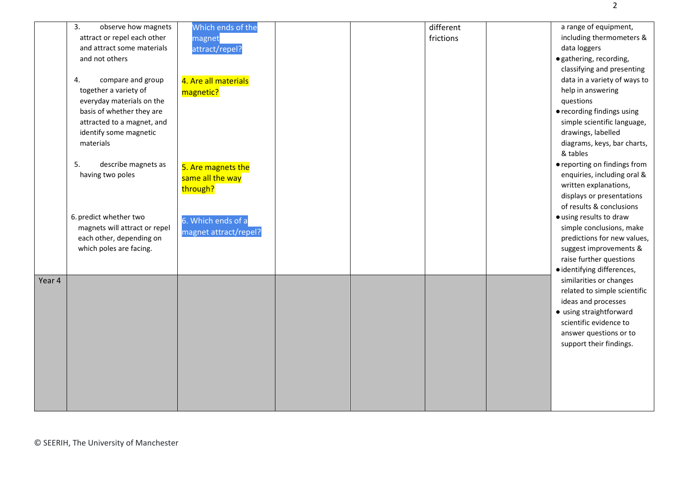|        | 3.<br>observe how magnets<br>attract or repel each other<br>and attract some materials<br>and not others<br>compare and group<br>4.<br>together a variety of<br>everyday materials on the<br>basis of whether they are<br>attracted to a magnet, and | Which ends of the<br>magnet<br>attract/repel?<br>4. Are all materials<br>magnetic? |  | different<br>frictions | a range of equipment,<br>including thermometers &<br>data loggers<br>· gathering, recording,<br>classifying and presenting<br>data in a variety of ways to<br>help in answering<br>questions<br>• recording findings using<br>simple scientific language, |
|--------|------------------------------------------------------------------------------------------------------------------------------------------------------------------------------------------------------------------------------------------------------|------------------------------------------------------------------------------------|--|------------------------|-----------------------------------------------------------------------------------------------------------------------------------------------------------------------------------------------------------------------------------------------------------|
|        | identify some magnetic<br>materials<br>5.<br>describe magnets as<br>having two poles                                                                                                                                                                 | 5. Are magnets the<br>same all the way<br>through?                                 |  |                        | drawings, labelled<br>diagrams, keys, bar charts,<br>& tables<br>• reporting on findings from<br>enquiries, including oral &<br>written explanations,<br>displays or presentations<br>of results & conclusions                                            |
| Year 4 | 6. predict whether two<br>magnets will attract or repel<br>each other, depending on<br>which poles are facing.                                                                                                                                       | 6. Which ends of a<br>magnet attract/repel?                                        |  |                        | · using results to draw<br>simple conclusions, make<br>predictions for new values,<br>suggest improvements &<br>raise further questions<br>· identifying differences,<br>similarities or changes                                                          |
|        |                                                                                                                                                                                                                                                      |                                                                                    |  |                        | related to simple scientific<br>ideas and processes<br>• using straightforward<br>scientific evidence to<br>answer questions or to<br>support their findings.                                                                                             |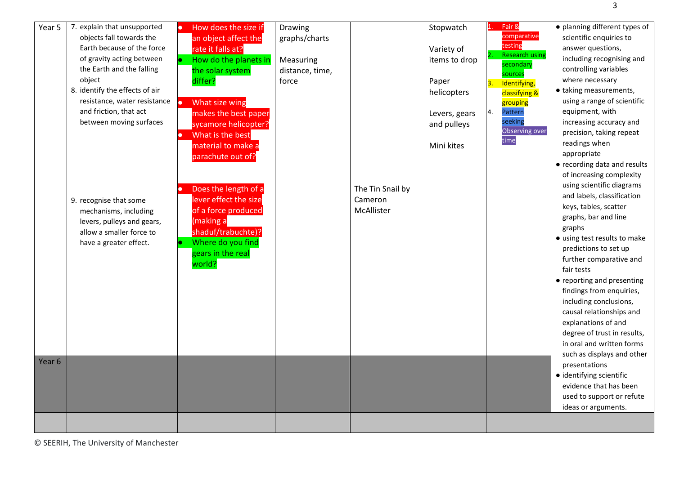| Year 5 | 7. explain that unsupported<br>objects fall towards the<br>Earth because of the force<br>of gravity acting between<br>the Earth and the falling<br>object<br>8. identify the effects of air<br>resistance, water resistance<br>and friction, that act<br>between moving surfaces<br>9. recognise that some<br>mechanisms, including<br>levers, pulleys and gears,<br>allow a smaller force to<br>have a greater effect. | How does the size if<br>an object affect the<br>rate it falls at?<br>How do the planets in<br>the solar system<br>differ?<br>What size wing<br><b>CO</b><br>makes the best paper<br>sycamore helicopter?<br>What is the best<br>material to make a<br>parachute out of?<br>Does the length of a<br>lever effect the size<br>of a force produced<br>(making a<br>shaduf/trabuchte)?<br>Where do you find<br>gears in the real<br>world? | Drawing<br>graphs/charts<br>Measuring<br>distance, time,<br>force | The Tin Snail by<br>Cameron<br>McAllister | Stopwatch<br>Variety of<br>items to drop<br>Paper<br>helicopters<br>Levers, gears<br>and pulleys<br>Mini kites | Fair &<br>comparative<br>testing<br><b>Research using</b><br>secondary<br>sources<br>Identifying,<br>3.<br>classifying &<br>grouping<br>Pattern<br>4.<br>seeking<br>Observing over<br>time | · planning different types of<br>scientific enquiries to<br>answer questions,<br>including recognising and<br>controlling variables<br>where necessary<br>• taking measurements,<br>using a range of scientific<br>equipment, with<br>increasing accuracy and<br>precision, taking repeat<br>readings when<br>appropriate<br>• recording data and results<br>of increasing complexity<br>using scientific diagrams<br>and labels, classification<br>keys, tables, scatter<br>graphs, bar and line<br>graphs<br>• using test results to make<br>predictions to set up<br>further comparative and<br>fair tests<br>• reporting and presenting<br>findings from enquiries,<br>including conclusions,<br>causal relationships and<br>explanations of and<br>degree of trust in results,<br>in oral and written forms<br>such as displays and other |
|--------|-------------------------------------------------------------------------------------------------------------------------------------------------------------------------------------------------------------------------------------------------------------------------------------------------------------------------------------------------------------------------------------------------------------------------|----------------------------------------------------------------------------------------------------------------------------------------------------------------------------------------------------------------------------------------------------------------------------------------------------------------------------------------------------------------------------------------------------------------------------------------|-------------------------------------------------------------------|-------------------------------------------|----------------------------------------------------------------------------------------------------------------|--------------------------------------------------------------------------------------------------------------------------------------------------------------------------------------------|------------------------------------------------------------------------------------------------------------------------------------------------------------------------------------------------------------------------------------------------------------------------------------------------------------------------------------------------------------------------------------------------------------------------------------------------------------------------------------------------------------------------------------------------------------------------------------------------------------------------------------------------------------------------------------------------------------------------------------------------------------------------------------------------------------------------------------------------|
| Year 6 |                                                                                                                                                                                                                                                                                                                                                                                                                         |                                                                                                                                                                                                                                                                                                                                                                                                                                        |                                                                   |                                           |                                                                                                                |                                                                                                                                                                                            | presentations<br>· identifying scientific<br>evidence that has been<br>used to support or refute<br>ideas or arguments.                                                                                                                                                                                                                                                                                                                                                                                                                                                                                                                                                                                                                                                                                                                        |
|        |                                                                                                                                                                                                                                                                                                                                                                                                                         |                                                                                                                                                                                                                                                                                                                                                                                                                                        |                                                                   |                                           |                                                                                                                |                                                                                                                                                                                            |                                                                                                                                                                                                                                                                                                                                                                                                                                                                                                                                                                                                                                                                                                                                                                                                                                                |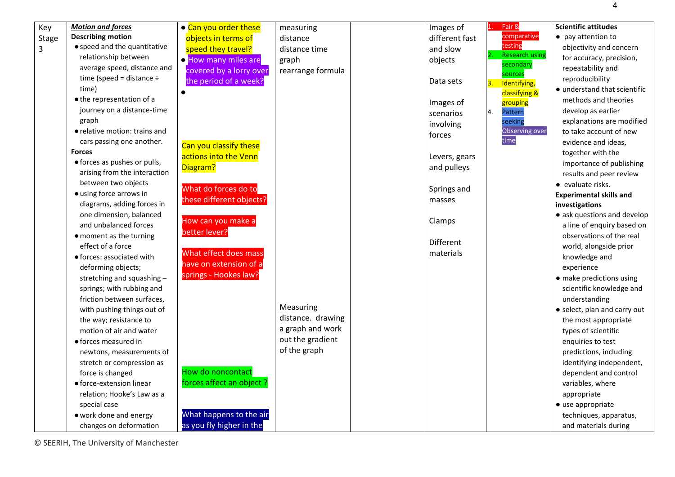objectivity and concern for accuracy, precision, repeatability and reproducibility

4

- understand that scientific methods and theories develop as earlier explanations are modified to take account of new evidence and ideas, together with the importance of publishing results and peer review
- **Experimental skills and**
- ask questions and develop a line of enquiry based on observations of the real world, alongside prior knowledge and experience
- make predictions using scientific knowledge and understanding
- select, plan and carry out the most appropriate types of scientific enquiries to test predictions, including identifying independent, dependent and control variables, where appropriate ● use appropriate techniques, apparatus,

| • use appropriate      |
|------------------------|
| techniques, apparatus, |
| and materials during   |
|                        |



© SEERIH, The University of Manchester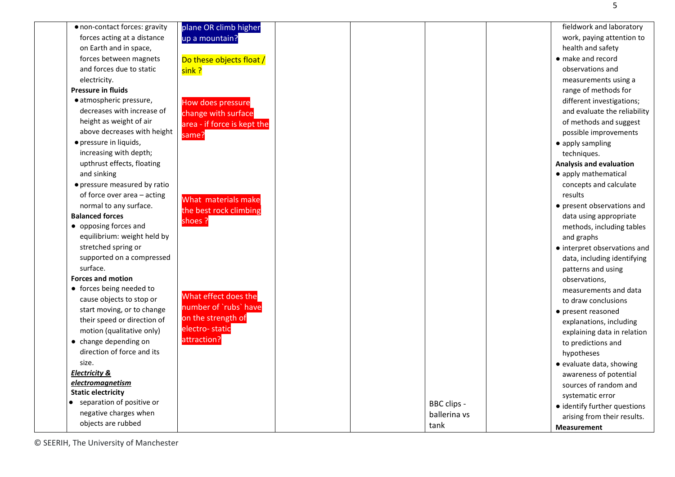| • non-contact forces: gravity | plane OR climb higher       |              | fieldwork and laboratory       |
|-------------------------------|-----------------------------|--------------|--------------------------------|
| forces acting at a distance   | up a mountain?              |              | work, paying attention to      |
| on Earth and in space,        |                             |              | health and safety              |
| forces between magnets        | Do these objects float /    |              | • make and record              |
| and forces due to static      | sink?                       |              | observations and               |
| electricity.                  |                             |              | measurements using a           |
| <b>Pressure in fluids</b>     |                             |              | range of methods for           |
| · atmospheric pressure,       | How does pressure           |              | different investigations;      |
| decreases with increase of    | change with surface         |              | and evaluate the reliability   |
| height as weight of air       | area - if force is kept the |              | of methods and suggest         |
| above decreases with height   | same?                       |              | possible improvements          |
| · pressure in liquids,        |                             |              | • apply sampling               |
| increasing with depth;        |                             |              | techniques.                    |
| upthrust effects, floating    |                             |              | <b>Analysis and evaluation</b> |
| and sinking                   |                             |              | • apply mathematical           |
| • pressure measured by ratio  |                             |              | concepts and calculate         |
| of force over area - acting   | What materials make         |              | results                        |
| normal to any surface.        |                             |              | • present observations and     |
| <b>Balanced forces</b>        | the best rock climbing      |              | data using appropriate         |
| • opposing forces and         | shoes ?                     |              | methods, including tables      |
| equilibrium: weight held by   |                             |              | and graphs                     |
| stretched spring or           |                             |              | • interpret observations and   |
| supported on a compressed     |                             |              | data, including identifying    |
| surface.                      |                             |              | patterns and using             |
| <b>Forces and motion</b>      |                             |              | observations,                  |
| • forces being needed to      |                             |              | measurements and data          |
| cause objects to stop or      | What effect does the        |              | to draw conclusions            |
| start moving, or to change    | number of `rubs` have       |              | • present reasoned             |
| their speed or direction of   | on the strength of          |              | explanations, including        |
| motion (qualitative only)     | electro-static              |              | explaining data in relation    |
| • change depending on         | attraction?                 |              | to predictions and             |
| direction of force and its    |                             |              | hypotheses                     |
| size.                         |                             |              | • evaluate data, showing       |
| <b>Electricity &amp;</b>      |                             |              | awareness of potential         |
| electromagnetism              |                             |              | sources of random and          |
| <b>Static electricity</b>     |                             |              | systematic error               |
| • separation of positive or   |                             | BBC clips -  | · identify further questions   |
| negative charges when         |                             | ballerina vs | arising from their results.    |
| objects are rubbed            |                             | tank         | <b>Measurement</b>             |